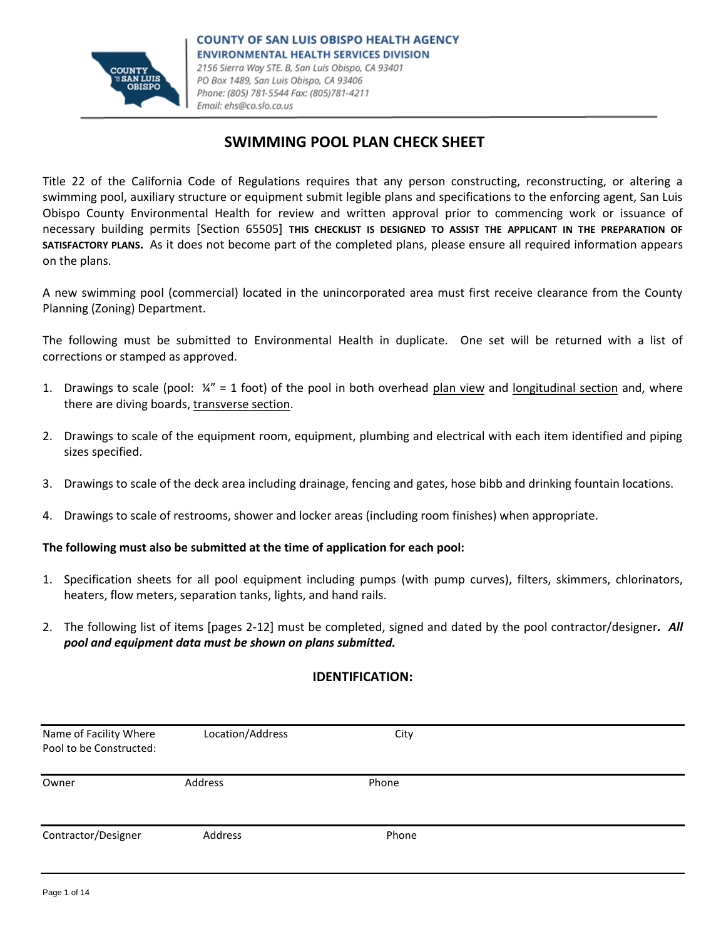

# **SWIMMING POOL PLAN CHECK SHEET**

Title 22 of the California Code of Regulations requires that any person constructing, reconstructing, or altering a swimming pool, auxiliary structure or equipment submit legible plans and specifications to the enforcing agent, San Luis Obispo County Environmental Health for review and written approval prior to commencing work or issuance of necessary building permits [Section 65505] **THIS CHECKLIST IS DESIGNED TO ASSIST THE APPLICANT IN THE PREPARATION OF SATISFACTORY PLANS.** As it does not become part of the completed plans, please ensure all required information appears on the plans.

A new swimming pool (commercial) located in the unincorporated area must first receive clearance from the County Planning (Zoning) Department.

The following must be submitted to Environmental Health in duplicate. One set will be returned with a list of corrections or stamped as approved.

- 1. Drawings to scale (pool:  $\frac{1}{4}$ " = 1 foot) of the pool in both overhead plan view and longitudinal section and, where there are diving boards, transverse section.
- 2. Drawings to scale of the equipment room, equipment, plumbing and electrical with each item identified and piping sizes specified.
- 3. Drawings to scale of the deck area including drainage, fencing and gates, hose bibb and drinking fountain locations.
- 4. Drawings to scale of restrooms, shower and locker areas (including room finishes) when appropriate.

#### **The following must also be submitted at the time of application for each pool:**

- 1. Specification sheets for all pool equipment including pumps (with pump curves), filters, skimmers, chlorinators, heaters, flow meters, separation tanks, lights, and hand rails.
- 2. The following list of items [pages 2-12] must be completed, signed and dated by the pool contractor/designer*. All pool and equipment data must be shown on plans submitted.*

#### **IDENTIFICATION:**

| Name of Facility Where<br>Pool to be Constructed: | Location/Address | City  |  |
|---------------------------------------------------|------------------|-------|--|
| Owner                                             | Address          | Phone |  |
| Contractor/Designer                               | Address          | Phone |  |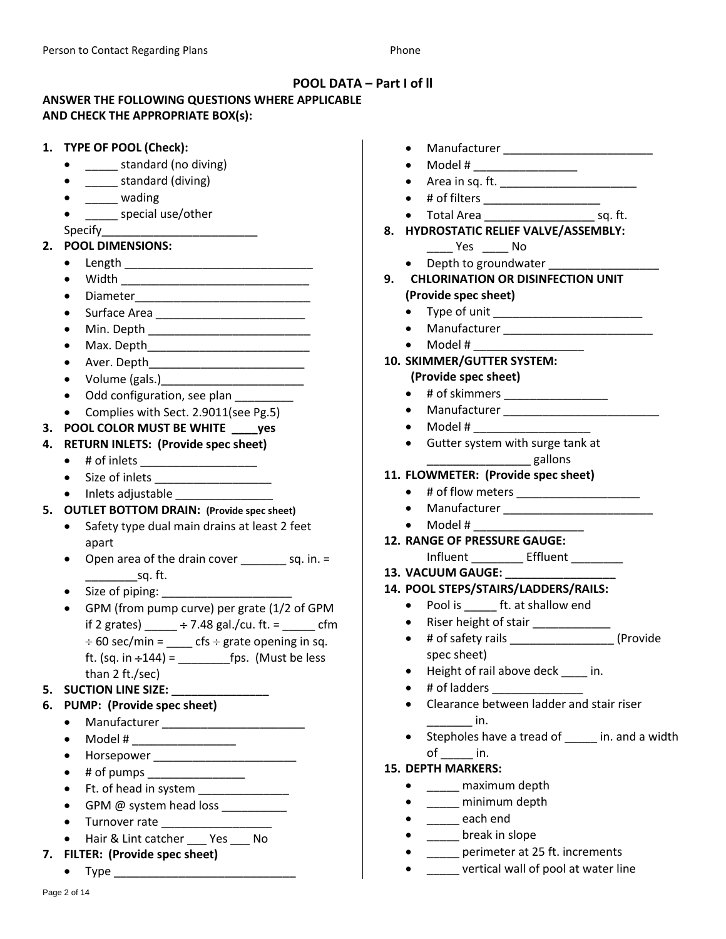## **POOL DATA – Part I of ll**

# **ANSWER THE FOLLOWING QUESTIONS WHERE APPLICABLE AND CHECK THE APPROPRIATE BOX(s):**

|    | 1. TYPE OF POOL (Check):                                                                               | $\bullet$                                                                                                                                                  |
|----|--------------------------------------------------------------------------------------------------------|------------------------------------------------------------------------------------------------------------------------------------------------------------|
|    | ______ standard (no diving)                                                                            | Model # _________________                                                                                                                                  |
|    | ______ standard (diving)                                                                               |                                                                                                                                                            |
|    | wading                                                                                                 | # of filters ______________________                                                                                                                        |
|    | ____ special use/other                                                                                 |                                                                                                                                                            |
|    | Specify <b>Specify Specify Specify Specify Specify Specify Specify Specify Specify Specify Specify</b> | 8. HYDROSTATIC RELIEF VALVE/ASSEMBLY:                                                                                                                      |
|    | 2. POOL DIMENSIONS:                                                                                    | No Ves                                                                                                                                                     |
|    | $\bullet$                                                                                              | • Depth to groundwater                                                                                                                                     |
|    |                                                                                                        | 9. CHLORINATION OR DISINFECTION UNIT                                                                                                                       |
|    | $\bullet$                                                                                              | (Provide spec sheet)                                                                                                                                       |
|    |                                                                                                        |                                                                                                                                                            |
|    |                                                                                                        |                                                                                                                                                            |
|    |                                                                                                        | $\bullet$ Model # ________________                                                                                                                         |
|    |                                                                                                        | 10. SKIMMER/GUTTER SYSTEM:                                                                                                                                 |
|    | $\bullet$                                                                                              | (Provide spec sheet)                                                                                                                                       |
|    | Odd configuration, see plan _________<br>$\bullet$                                                     | $\bullet$                                                                                                                                                  |
|    | Complies with Sect. 2.9011(see Pg.5)<br>$\bullet$                                                      | Manufacturer __________________<br>$\bullet$                                                                                                               |
|    | 3. POOL COLOR MUST BE WHITE ____ yes                                                                   | $\bullet$                                                                                                                                                  |
| 4. | <b>RETURN INLETS: (Provide spec sheet)</b>                                                             | Gutter system with surge tank at                                                                                                                           |
|    | # of inlets ______________________<br>$\bullet$                                                        | gallons                                                                                                                                                    |
|    | $\bullet$                                                                                              | 11. FLOWMETER: (Provide spec sheet)                                                                                                                        |
|    | • Inlets adjustable                                                                                    | $\bullet$                                                                                                                                                  |
|    | 5. OUTLET BOTTOM DRAIN: (Provide spec sheet)                                                           | $\bullet$                                                                                                                                                  |
|    | Safety type dual main drains at least 2 feet<br>$\bullet$                                              | Model # 2009 and 2009 and 2009 and 2009 and 2009 and 2009 and 2009 and 2009 and 2009 and 2009 and 2009 and 20<br>$\bullet$<br>12. RANGE OF PRESSURE GAUGE: |
|    | apart                                                                                                  | Influent __________ Effluent ________                                                                                                                      |
|    | Open area of the drain cover ___________ sq. in. =<br>$\bullet$                                        | 13. VACUUM GAUGE:                                                                                                                                          |
|    | sq. ft.                                                                                                | 14. POOL STEPS/STAIRS/LADDERS/RAILS:                                                                                                                       |
|    | GPM (from pump curve) per grate (1/2 of GPM                                                            | • Pool is _______ ft. at shallow end                                                                                                                       |
|    |                                                                                                        | Riser height of stair ____________<br>$\bullet$                                                                                                            |
|    | if 2 grates) _____ ÷ 7.48 gal./cu. ft. = _____ cfm                                                     | (Provide<br>$\bullet$                                                                                                                                      |
|    | $\div$ 60 sec/min = ____ cfs $\div$ grate opening in sq.                                               | spec sheet)                                                                                                                                                |
|    | than 2 ft./sec)                                                                                        | Height of rail above deck ____ in.                                                                                                                         |
|    | 5. SUCTION LINE SIZE: ___________                                                                      | # of ladders _______________                                                                                                                               |
|    | 6. PUMP: (Provide spec sheet)                                                                          | Clearance between ladder and stair riser                                                                                                                   |
|    |                                                                                                        | $\overline{\phantom{a}}$ in.                                                                                                                               |
|    | Model # __________________                                                                             | Stepholes have a tread of _____ in. and a width                                                                                                            |
|    | Horsepower __________________________                                                                  | $of$ in.                                                                                                                                                   |
|    | # of pumps ________________                                                                            | <b>15. DEPTH MARKERS:</b>                                                                                                                                  |
|    | Ft. of head in system ________________                                                                 | _____ maximum depth                                                                                                                                        |
|    | GPM @ system head loss __________                                                                      | minimum depth                                                                                                                                              |
|    | Turnover rate ____________________                                                                     | _______ each end                                                                                                                                           |
|    | Hair & Lint catcher ____ Yes ____ No<br>$\bullet$                                                      | break in slope                                                                                                                                             |
|    | 7. FILTER: (Provide spec sheet)                                                                        | perimeter at 25 ft. increments                                                                                                                             |
|    |                                                                                                        | ____ vertical wall of pool at water line                                                                                                                   |
|    |                                                                                                        |                                                                                                                                                            |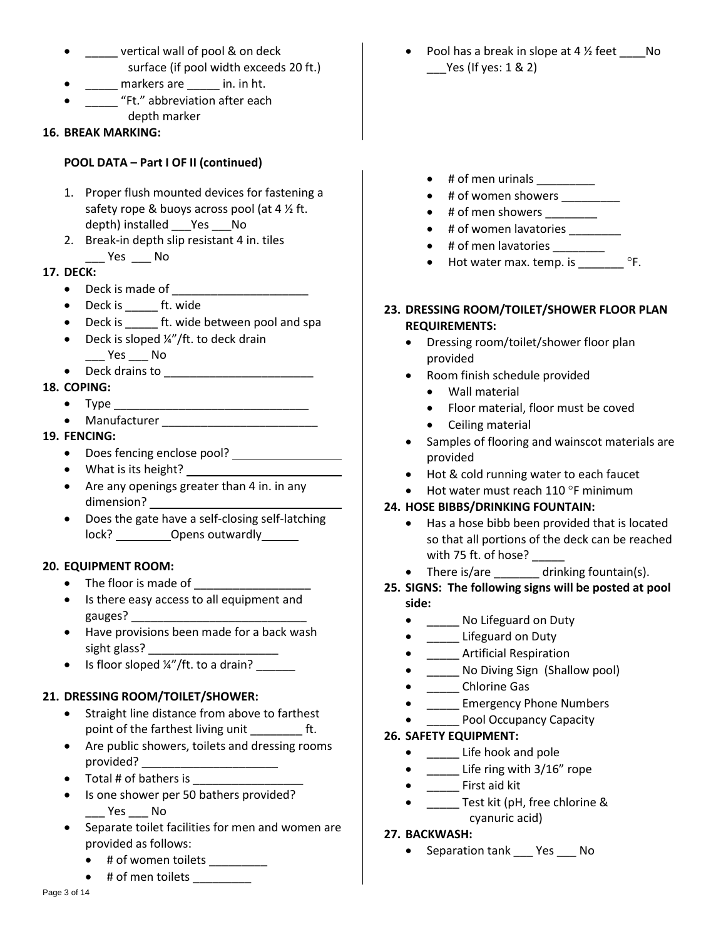- **ware vertical wall of pool & on deck** surface (if pool width exceeds 20 ft.)
- \_\_\_\_\_ markers are \_\_\_\_\_ in. in ht.
- \_\_\_\_\_ "Ft." abbreviation after each depth marker
- 

### **16. BREAK MARKING:**

## **POOL DATA – Part I OF II (continued)**

- 1. Proper flush mounted devices for fastening a safety rope & buoys across pool (at 4  $\frac{1}{2}$  ft. depth) installed Yes No
- 2. Break-in depth slip resistant 4 in. tiles \_\_\_ Yes \_\_\_ No

### **17. DECK:**

- $\bullet$  Deck is made of
- Deck is \_\_\_\_\_\_ ft. wide
- Deck is ft. wide between pool and spa
- $\bullet$  Deck is sloped  $\frac{1}{4}$  /ft. to deck drain \_\_\_ Yes \_\_\_ No
- Deck drains to

### **18. COPING:**

- Type \_\_\_\_\_\_\_\_\_\_\_\_\_\_\_\_\_\_\_\_\_\_\_\_\_\_\_\_\_\_
- Manufacturer \_\_\_\_\_\_\_\_\_\_\_\_\_\_\_\_\_\_\_\_\_\_\_\_
- **19. FENCING:**
	- Does fencing enclose pool?
	- What is its height?
	- Are any openings greater than 4 in. in any dimension?
	- Does the gate have a self-closing self-latching lock? \_\_\_\_\_\_\_ Opens outwardly \_\_\_\_\_\_

## **20. EQUIPMENT ROOM:**

- The floor is made of \_\_\_\_\_\_\_\_\_\_\_\_\_\_\_\_\_\_
- Is there easy access to all equipment and gauges?
- Have provisions been made for a back wash sight glass?
- $\bullet$  Is floor sloped  $\frac{1}{4}$  /ft. to a drain?

## **21. DRESSING ROOM/TOILET/SHOWER:**

- Straight line distance from above to farthest point of the farthest living unit \_\_\_\_\_\_\_\_\_\_ ft.
- Are public showers, toilets and dressing rooms provided? \_\_\_\_\_\_\_\_\_\_\_\_\_\_\_\_\_\_\_\_\_\_\_\_\_
- $\bullet$  Total # of bathers is
- Is one shower per 50 bathers provided? \_\_\_ Yes \_\_\_ No
- Separate toilet facilities for men and women are provided as follows:
	- # of women toilets \_\_\_\_\_\_\_\_\_
- # of men toilets \_\_\_\_\_\_\_\_\_\_\_

Pool has a break in slope at 4 1/2 feet \_\_\_\_\_No \_\_\_Yes (If yes: 1 & 2)

- $\bullet$  # of men urinals \_\_\_\_\_\_\_\_
- # of women showers
- $\bullet$  # of men showers \_\_\_\_\_\_\_
- # of women lavatories
- # of men lavatories
- Hot water max. temp. is  $^{\circ}$ F.
- **23. DRESSING ROOM/TOILET/SHOWER FLOOR PLAN REQUIREMENTS:**
	- Dressing room/toilet/shower floor plan provided
	- Room finish schedule provided
		- Wall material
		- Floor material, floor must be coved
		- Ceiling material
	- Samples of flooring and wainscot materials are provided
	- Hot & cold running water to each faucet
	- Hot water must reach  $110^{\circ}$ F minimum

## **24. HOSE BIBBS/DRINKING FOUNTAIN:**

- Has a hose bibb been provided that is located so that all portions of the deck can be reached with 75 ft. of hose?
- There is/are drinking fountain(s).
- **25. SIGNS: The following signs will be posted at pool side:**
	- \_\_\_\_\_ No Lifeguard on Duty
	- \_\_\_\_\_ Lifeguard on Duty
	- \_\_\_\_\_ Artificial Respiration
	- No Diving Sign (Shallow pool)
	- \_\_\_\_\_ Chlorine Gas
	- \_\_\_\_\_ Emergency Phone Numbers
	- Pool Occupancy Capacity

#### **26. SAFETY EQUIPMENT:**

- \_\_\_\_\_ Life hook and pole
- \_\_\_\_\_ Life ring with 3/16" rope
- \_\_\_\_\_ First aid kit
- \_\_\_\_\_\_ Test kit (pH, free chlorine & cyanuric acid)
- **27. BACKWASH:**
	- Separation tank Yes No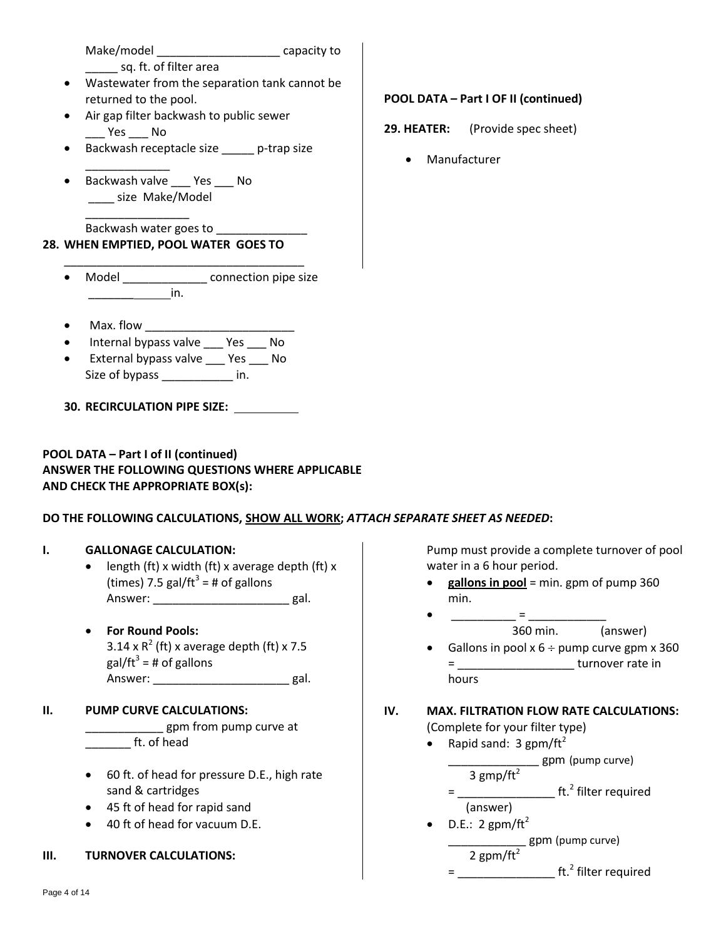Make/model \_\_\_\_\_\_\_\_\_\_\_\_\_\_\_\_\_\_\_ capacity to sq. ft. of filter area Wastewater from the separation tank cannot be returned to the pool. Air gap filter backwash to public sewer \_\_\_ Yes \_\_\_ No Backwash receptacle size \_\_\_\_\_ p-trap size \_\_\_\_\_\_\_\_\_\_\_\_\_ Backwash valve \_\_\_ Yes \_\_\_ No \_\_\_\_ size Make/Model \_\_\_\_\_\_\_\_\_\_\_\_\_\_\_\_ Backwash water goes to **28. WHEN EMPTIED, POOL WATER GOES TO** \_\_\_\_\_\_\_\_\_\_\_\_\_\_\_\_\_\_\_\_\_\_\_\_\_\_\_\_\_\_\_\_\_\_\_\_\_ **POOL DATA – Part I OF II (continued) 29. HEATER:** (Provide spec sheet) Manufacturer Model **Model** connection pipe size  $\mathsf{in}$ . Max. flow Internal bypass valve \_\_\_ Yes \_\_\_ No External bypass valve \_\_\_ Yes \_\_\_ No Size of bypass \_\_\_\_\_\_\_\_\_\_\_ in. **30. RECIRCULATION PIPE SIZE: POOL DATA – Part I of II (continued) ANSWER THE FOLLOWING QUESTIONS WHERE APPLICABLE AND CHECK THE APPROPRIATE BOX(s): DO THE FOLLOWING CALCULATIONS, SHOW ALL WORK;** *ATTACH SEPARATE SHEET AS NEEDED***: I. GALLONAGE CALCULATION:** length (ft) x width (ft) x average depth (ft) x (times) 7.5 gal/ft<sup>3</sup> = # of gallons Answer: \_\_\_\_\_\_\_\_\_\_\_\_\_\_\_\_\_\_\_\_\_\_\_\_\_\_\_ gal. **For Round Pools:**  $3.14 \times R^2$  (ft) x average depth (ft) x 7.5 gal/ft $^3$  = # of gallons Answer: \_\_\_\_\_\_\_\_\_\_\_\_\_\_\_\_\_\_\_\_\_\_\_\_\_\_ gal. **II. PUMP CURVE CALCULATIONS:** \_\_ gpm from pump curve at \_\_\_\_\_\_\_ ft. of head 60 ft. of head for pressure D.E., high rate sand & cartridges 45 ft of head for rapid sand 40 ft of head for vacuum D.E. **III. TURNOVER CALCULATIONS:** Pump must provide a complete turnover of pool water in a 6 hour period. **gallons in pool** = min. gpm of pump 360 min. \_\_\_\_\_\_\_\_\_\_\_\_\_\_ = \_\_\_\_\_\_\_\_\_ 360 min. (answer) • Gallons in pool  $x 6 \div$  pump curve gpm  $x 360$ = \_\_\_\_\_\_\_\_\_\_\_\_\_\_\_\_\_\_ turnover rate in hours **IV. MAX. FILTRATION FLOW RATE CALCULATIONS:** (Complete for your filter type) • Rapid sand:  $3$  gpm/ft<sup>2</sup> \_\_\_\_\_\_\_\_\_\_\_\_\_\_ gpm (pump curve) 3 gmp/ft $^2$ = \_\_\_\_\_\_\_\_\_\_\_\_\_\_\_\_\_\_\_\_ ft.<sup>2</sup> filter required (answer)  $\bullet$  D.E.: 2 gpm/ft<sup>2</sup> \_\_\_\_\_\_\_\_\_\_\_\_ gpm (pump curve) 2 gpm/ft<sup>2</sup>

= \_\_\_\_\_\_\_\_\_\_\_\_\_\_\_\_\_\_\_\_ ft.<sup>2</sup> filter required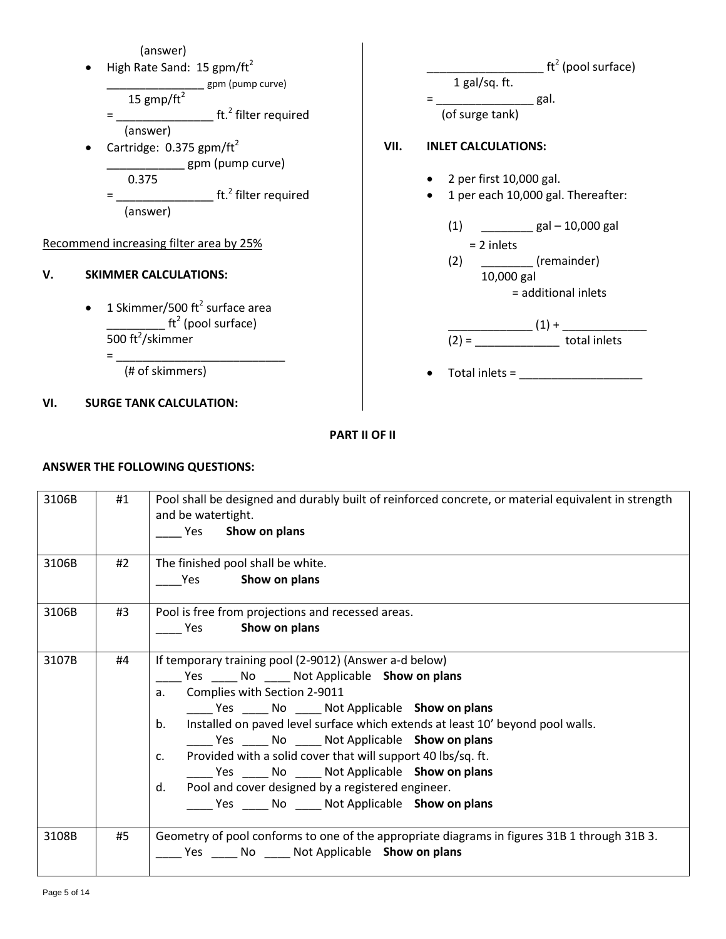

### **PART II OF II**

#### **ANSWER THE FOLLOWING QUESTIONS:**

| 3106B | #1 | Pool shall be designed and durably built of reinforced concrete, or material equivalent in strength<br>and be watertight.<br>Show on plans<br>Yes                                                                                                                                                                                                                                                                                                                                                                                                                  |
|-------|----|--------------------------------------------------------------------------------------------------------------------------------------------------------------------------------------------------------------------------------------------------------------------------------------------------------------------------------------------------------------------------------------------------------------------------------------------------------------------------------------------------------------------------------------------------------------------|
| 3106B | #2 | The finished pool shall be white.<br>Yes Show on plans                                                                                                                                                                                                                                                                                                                                                                                                                                                                                                             |
| 3106B | #3 | Pool is free from projections and recessed areas.<br>Show on plans<br><b>Property Yes</b>                                                                                                                                                                                                                                                                                                                                                                                                                                                                          |
| 3107B | #4 | If temporary training pool (2-9012) (Answer a-d below)<br>_______ Yes _______ No _______ Not Applicable Show on plans<br>a. Complies with Section 2-9011<br>______ Yes ______ No ______ Not Applicable Show on plans<br>Installed on paved level surface which extends at least 10' beyond pool walls.<br>b.<br>Yes No Not Applicable Show on plans<br>Provided with a solid cover that will support 40 lbs/sq. ft.<br>c.<br>Yes No Not Applicable Show on plans<br>Pool and cover designed by a registered engineer.<br>d.<br>Yes No Not Applicable Show on plans |
| 3108B | #5 | Geometry of pool conforms to one of the appropriate diagrams in figures 31B 1 through 31B 3.<br>_____ Yes _____ No _____ Not Applicable Show on plans                                                                                                                                                                                                                                                                                                                                                                                                              |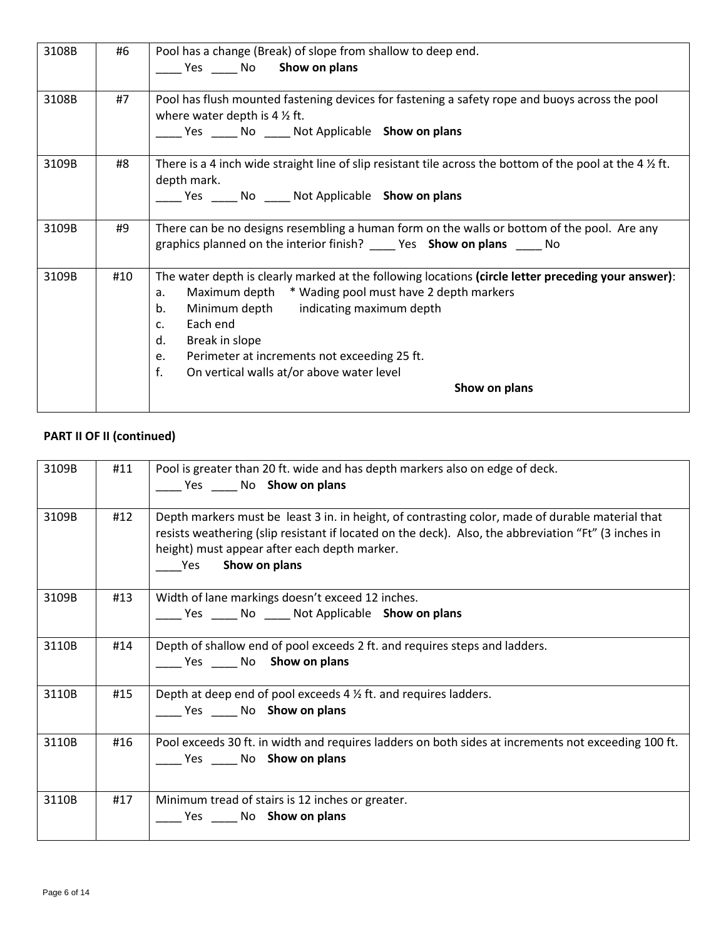| 3108B | #6  | Pool has a change (Break) of slope from shallow to deep end.                                                         |
|-------|-----|----------------------------------------------------------------------------------------------------------------------|
|       |     | Yes No Show on plans                                                                                                 |
|       |     |                                                                                                                      |
| 3108B | #7  | Pool has flush mounted fastening devices for fastening a safety rope and buoys across the pool                       |
|       |     | where water depth is $4\frac{1}{2}$ ft.                                                                              |
|       |     | Yes No Not Applicable Show on plans                                                                                  |
| 3109B | #8  | There is a 4 inch wide straight line of slip resistant tile across the bottom of the pool at the 4 $\frac{1}{2}$ ft. |
|       |     | depth mark.                                                                                                          |
|       |     | _____ Yes ______ No _____ Not Applicable Show on plans                                                               |
|       |     |                                                                                                                      |
| 3109B | #9  | There can be no designs resembling a human form on the walls or bottom of the pool. Are any                          |
|       |     | graphics planned on the interior finish? _______ Yes Show on plans ______ No                                         |
|       |     |                                                                                                                      |
| 3109B | #10 | The water depth is clearly marked at the following locations (circle letter preceding your answer):                  |
|       |     | Maximum depth * Wading pool must have 2 depth markers<br>a.                                                          |
|       |     | Minimum depth indicating maximum depth<br>b.                                                                         |
|       |     | Each end<br>c.                                                                                                       |
|       |     | d.<br>Break in slope                                                                                                 |
|       |     | Perimeter at increments not exceeding 25 ft.<br>e.                                                                   |
|       |     | f.<br>On vertical walls at/or above water level                                                                      |
|       |     | Show on plans                                                                                                        |
|       |     |                                                                                                                      |

| 3109B | #11 | Pool is greater than 20 ft. wide and has depth markers also on edge of deck.<br>Yes No Show on plans                                                                                                                                                                                     |
|-------|-----|------------------------------------------------------------------------------------------------------------------------------------------------------------------------------------------------------------------------------------------------------------------------------------------|
| 3109B | #12 | Depth markers must be least 3 in. in height, of contrasting color, made of durable material that<br>resists weathering (slip resistant if located on the deck). Also, the abbreviation "Ft" (3 inches in<br>height) must appear after each depth marker.<br>Show on plans<br><b>Pres</b> |
| 3109B | #13 | Width of lane markings doesn't exceed 12 inches.<br>____ Yes _____ No ____ Not Applicable Show on plans                                                                                                                                                                                  |
| 3110B | #14 | Depth of shallow end of pool exceeds 2 ft. and requires steps and ladders.<br>Yes No Show on plans                                                                                                                                                                                       |
| 3110B | #15 | Depth at deep end of pool exceeds 4 1/2 ft. and requires ladders.<br>Yes No Show on plans                                                                                                                                                                                                |
| 3110B | #16 | Pool exceeds 30 ft. in width and requires ladders on both sides at increments not exceeding 100 ft.<br>Yes ______ No Show on plans                                                                                                                                                       |
| 3110B | #17 | Minimum tread of stairs is 12 inches or greater.<br>Yes No Show on plans                                                                                                                                                                                                                 |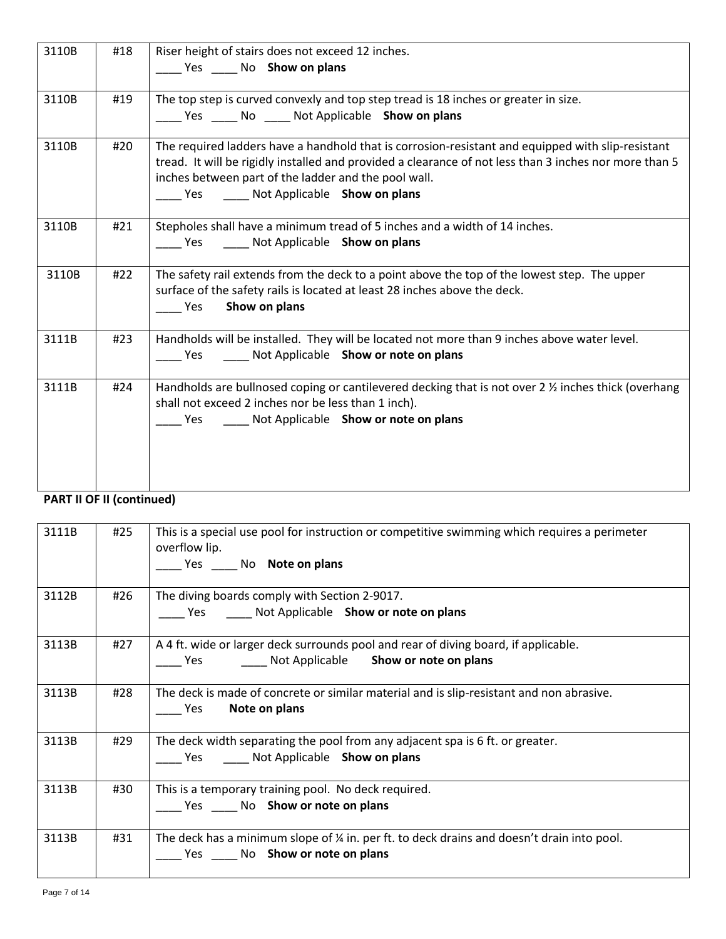| 3110B | #18 | Riser height of stairs does not exceed 12 inches.<br>Ves ______ No Show on plans                                                                                                                                                                                                                                      |
|-------|-----|-----------------------------------------------------------------------------------------------------------------------------------------------------------------------------------------------------------------------------------------------------------------------------------------------------------------------|
| 3110B | #19 | The top step is curved convexly and top step tread is 18 inches or greater in size.<br>_____ Yes _____ No _____ Not Applicable Show on plans                                                                                                                                                                          |
| 3110B | #20 | The required ladders have a handhold that is corrosion-resistant and equipped with slip-resistant<br>tread. It will be rigidly installed and provided a clearance of not less than 3 inches nor more than 5<br>inches between part of the ladder and the pool wall.<br>_____ Yes _______ Not Applicable Show on plans |
| 3110B | #21 | Stepholes shall have a minimum tread of 5 inches and a width of 14 inches.<br>Ves ______ Not Applicable Show on plans                                                                                                                                                                                                 |
| 3110B | #22 | The safety rail extends from the deck to a point above the top of the lowest step. The upper<br>surface of the safety rails is located at least 28 inches above the deck.<br>Show on plans<br>Yes                                                                                                                     |
| 3111B | #23 | Handholds will be installed. They will be located not more than 9 inches above water level.<br>Ves ______ Not Applicable Show or note on plans                                                                                                                                                                        |
| 3111B | #24 | Handholds are bullnosed coping or cantilevered decking that is not over 2 1/2 inches thick (overhang<br>shall not exceed 2 inches nor be less than 1 inch).<br>Ves ______ Not Applicable Show or note on plans                                                                                                        |

| 3111B | #25 | This is a special use pool for instruction or competitive swimming which requires a perimeter<br>overflow lip.<br>Yes No Note on plans |
|-------|-----|----------------------------------------------------------------------------------------------------------------------------------------|
| 3112B | #26 | The diving boards comply with Section 2-9017.<br>Yes Mot Applicable Show or note on plans                                              |
| 3113B | #27 | A 4 ft. wide or larger deck surrounds pool and rear of diving board, if applicable.<br>The Yes Mot Applicable Show or note on plans    |
| 3113B | #28 | The deck is made of concrete or similar material and is slip-resistant and non abrasive.<br>Note on plans<br><b>Parage Yes</b>         |
| 3113B | #29 | The deck width separating the pool from any adjacent spa is 6 ft. or greater.<br>Yes Mot Applicable Show on plans                      |
| 3113B | #30 | This is a temporary training pool. No deck required.<br>Yes No Show or note on plans                                                   |
| 3113B | #31 | The deck has a minimum slope of $\frac{1}{4}$ in. per ft. to deck drains and doesn't drain into pool.<br>Yes No Show or note on plans  |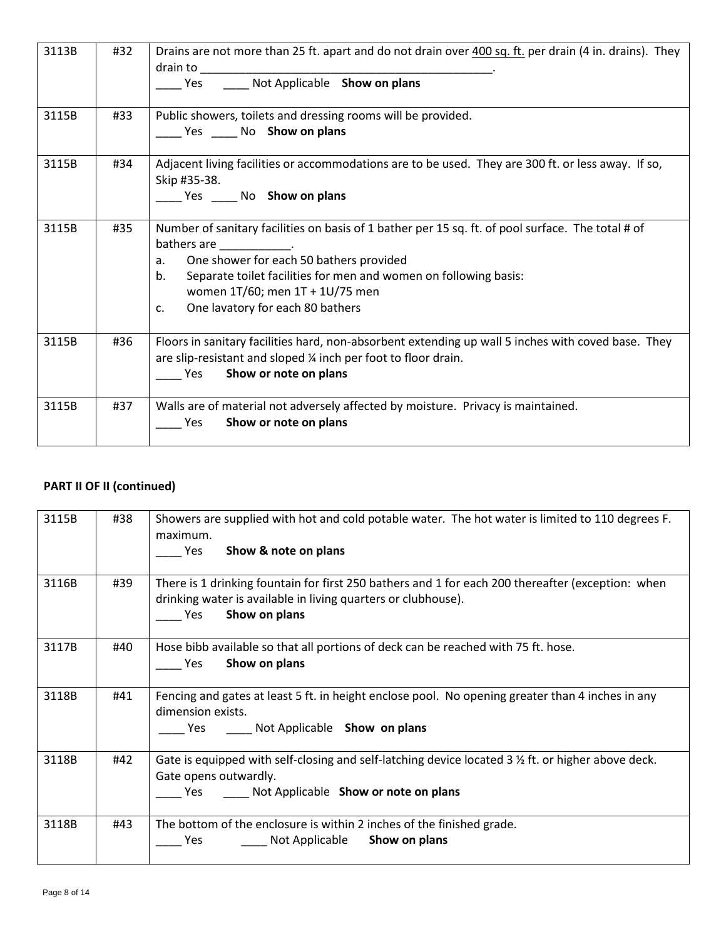| 3113B | #32 | Drains are not more than 25 ft. apart and do not drain over 400 sq. ft. per drain (4 in. drains). They<br>Yes _______ Not Applicable Show on plans                                                                                                                                                                                                |
|-------|-----|---------------------------------------------------------------------------------------------------------------------------------------------------------------------------------------------------------------------------------------------------------------------------------------------------------------------------------------------------|
| 3115B | #33 | Public showers, toilets and dressing rooms will be provided.<br>Ves ______ No Show on plans                                                                                                                                                                                                                                                       |
| 3115B | #34 | Adjacent living facilities or accommodations are to be used. They are 300 ft. or less away. If so,<br>Skip #35-38.<br>Yes ______ No Show on plans                                                                                                                                                                                                 |
| 3115B | #35 | Number of sanitary facilities on basis of 1 bather per 15 sq. ft. of pool surface. The total # of<br>bathers are ____________.<br>One shower for each 50 bathers provided<br>а.<br>Separate toilet facilities for men and women on following basis:<br>b.<br>women 1T/60; men 1T + 1U/75 men<br>One lavatory for each 80 bathers<br>$C_{\bullet}$ |
| 3115B | #36 | Floors in sanitary facilities hard, non-absorbent extending up wall 5 inches with coved base. They<br>are slip-resistant and sloped ¼ inch per foot to floor drain.<br>Show or note on plans<br>Yes                                                                                                                                               |
| 3115B | #37 | Walls are of material not adversely affected by moisture. Privacy is maintained.<br>Show or note on plans<br><b>Yes</b>                                                                                                                                                                                                                           |

| 3115B | #38 | Showers are supplied with hot and cold potable water. The hot water is limited to 110 degrees F.<br>maximum.<br>Show & note on plans<br>Yes                                                |
|-------|-----|--------------------------------------------------------------------------------------------------------------------------------------------------------------------------------------------|
| 3116B | #39 | There is 1 drinking fountain for first 250 bathers and 1 for each 200 thereafter (exception: when<br>drinking water is available in living quarters or clubhouse).<br>Show on plans<br>Yes |
| 3117B | #40 | Hose bibb available so that all portions of deck can be reached with 75 ft. hose.<br>Show on plans<br><b>Yes</b>                                                                           |
| 3118B | #41 | Fencing and gates at least 5 ft. in height enclose pool. No opening greater than 4 inches in any<br>dimension exists.<br>Yes Not Applicable Show on plans                                  |
| 3118B | #42 | Gate is equipped with self-closing and self-latching device located $3 \frac{1}{2}$ ft. or higher above deck.<br>Gate opens outwardly.<br>Not Applicable Show or note on plans<br>Yes      |
| 3118B | #43 | The bottom of the enclosure is within 2 inches of the finished grade.<br>Not Applicable<br>Show on plans<br>Yes                                                                            |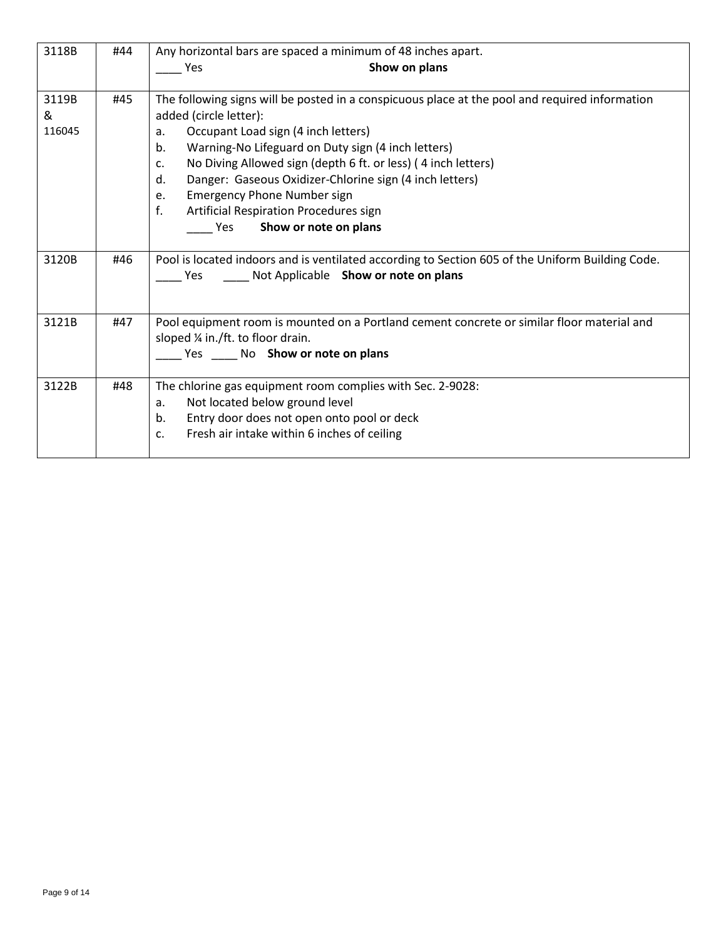| 3118B  | #44 | Any horizontal bars are spaced a minimum of 48 inches apart.                                     |  |
|--------|-----|--------------------------------------------------------------------------------------------------|--|
|        |     | Show on plans<br>Yes                                                                             |  |
|        |     |                                                                                                  |  |
| 3119B  | #45 | The following signs will be posted in a conspicuous place at the pool and required information   |  |
| &      |     | added (circle letter):                                                                           |  |
| 116045 |     | Occupant Load sign (4 inch letters)<br>a.                                                        |  |
|        |     | Warning-No Lifeguard on Duty sign (4 inch letters)<br>b.                                         |  |
|        |     | No Diving Allowed sign (depth 6 ft. or less) (4 inch letters)<br>$C_{\bullet}$                   |  |
|        |     | Danger: Gaseous Oxidizer-Chlorine sign (4 inch letters)<br>d.                                    |  |
|        |     | <b>Emergency Phone Number sign</b><br>e.                                                         |  |
|        |     | f.<br>Artificial Respiration Procedures sign                                                     |  |
|        |     | Show or note on plans<br><b>Preserve</b>                                                         |  |
|        |     |                                                                                                  |  |
| 3120B  | #46 | Pool is located indoors and is ventilated according to Section 605 of the Uniform Building Code. |  |
|        |     | ___ Not Applicable Show or note on plans<br>Yes                                                  |  |
|        |     |                                                                                                  |  |
|        |     |                                                                                                  |  |
| 3121B  | #47 | Pool equipment room is mounted on a Portland cement concrete or similar floor material and       |  |
|        |     | sloped ¼ in./ft. to floor drain.                                                                 |  |
|        |     | Yes ______ No Show or note on plans                                                              |  |
|        |     |                                                                                                  |  |
| 3122B  | #48 | The chlorine gas equipment room complies with Sec. 2-9028:                                       |  |
|        |     | Not located below ground level<br>a.                                                             |  |
|        |     | Entry door does not open onto pool or deck<br>b.                                                 |  |
|        |     | Fresh air intake within 6 inches of ceiling<br>$C_{\bullet}$                                     |  |
|        |     |                                                                                                  |  |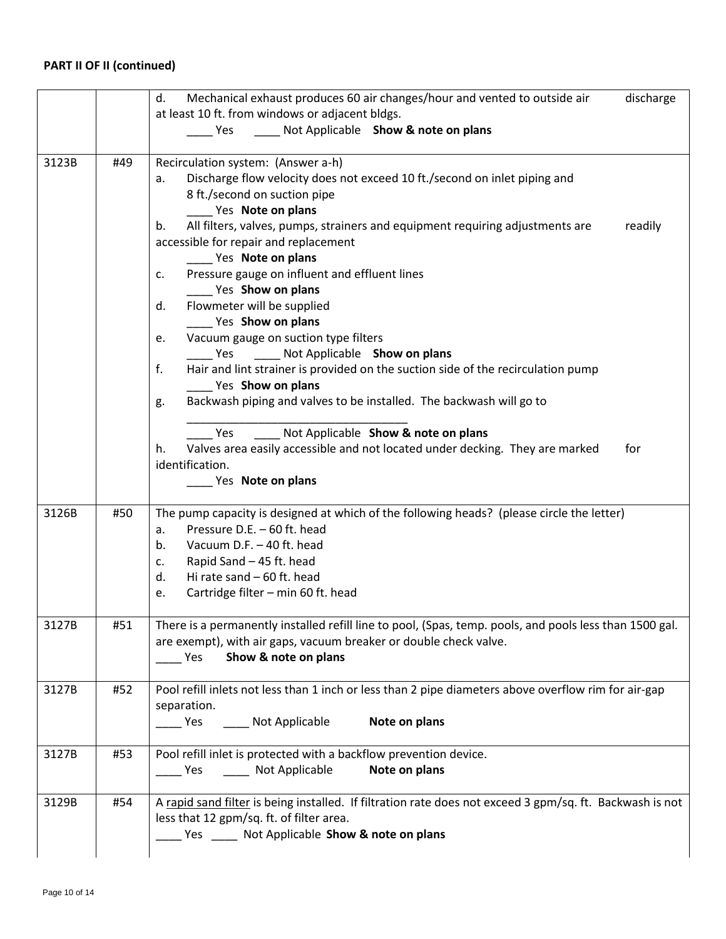|       |     | Mechanical exhaust produces 60 air changes/hour and vented to outside air<br>discharge<br>d.             |  |
|-------|-----|----------------------------------------------------------------------------------------------------------|--|
|       |     | at least 10 ft. from windows or adjacent bldgs.                                                          |  |
|       |     | Not Applicable Show & note on plans<br>Yes                                                               |  |
|       |     |                                                                                                          |  |
| 3123B | #49 | Recirculation system: (Answer a-h)                                                                       |  |
|       |     | Discharge flow velocity does not exceed 10 ft./second on inlet piping and<br>a.                          |  |
|       |     | 8 ft./second on suction pipe                                                                             |  |
|       |     | Yes Note on plans                                                                                        |  |
|       |     | All filters, valves, pumps, strainers and equipment requiring adjustments are<br>b.<br>readily           |  |
|       |     | accessible for repair and replacement                                                                    |  |
|       |     | Yes Note on plans                                                                                        |  |
|       |     | Pressure gauge on influent and effluent lines<br>c.                                                      |  |
|       |     | Yes Show on plans                                                                                        |  |
|       |     | Flowmeter will be supplied<br>d.                                                                         |  |
|       |     | Yes Show on plans                                                                                        |  |
|       |     | Vacuum gauge on suction type filters<br>e.                                                               |  |
|       |     | Not Applicable Show on plans<br>Yes                                                                      |  |
|       |     | f.<br>Hair and lint strainer is provided on the suction side of the recirculation pump                   |  |
|       |     | Yes Show on plans                                                                                        |  |
|       |     | Backwash piping and valves to be installed. The backwash will go to<br>g.                                |  |
|       |     |                                                                                                          |  |
|       |     | ___ Not Applicable Show & note on plans<br>Yes                                                           |  |
|       |     | Valves area easily accessible and not located under decking. They are marked<br>for<br>h.                |  |
|       |     | identification.                                                                                          |  |
|       |     | Yes Note on plans                                                                                        |  |
|       |     |                                                                                                          |  |
| 3126B | #50 | The pump capacity is designed at which of the following heads? (please circle the letter)                |  |
|       |     | Pressure D.E. - 60 ft. head<br>a.                                                                        |  |
|       |     | Vacuum D.F. - 40 ft. head<br>b.                                                                          |  |
|       |     | Rapid Sand - 45 ft. head<br>c.                                                                           |  |
|       |     | Hi rate sand - 60 ft. head<br>d.                                                                         |  |
|       |     | Cartridge filter - min 60 ft. head<br>e.                                                                 |  |
|       |     |                                                                                                          |  |
| 3127B | #51 | There is a permanently installed refill line to pool, (Spas, temp. pools, and pools less than 1500 gal.  |  |
|       |     | are exempt), with air gaps, vacuum breaker or double check valve.                                        |  |
|       |     | Show & note on plans<br>Yes                                                                              |  |
|       |     |                                                                                                          |  |
| 3127B | #52 | Pool refill inlets not less than 1 inch or less than 2 pipe diameters above overflow rim for air-gap     |  |
|       |     | separation.                                                                                              |  |
|       |     | Yes ______ Not Applicable<br>Note on plans                                                               |  |
|       |     |                                                                                                          |  |
| 3127B | #53 | Pool refill inlet is protected with a backflow prevention device.                                        |  |
|       |     | _____ Not Applicable<br>Note on plans<br><b>Pres</b>                                                     |  |
|       |     |                                                                                                          |  |
| 3129B | #54 | A rapid sand filter is being installed. If filtration rate does not exceed 3 gpm/sq. ft. Backwash is not |  |
|       |     | less that 12 gpm/sq. ft. of filter area.                                                                 |  |
|       |     | Yes _____ Not Applicable Show & note on plans                                                            |  |
|       |     |                                                                                                          |  |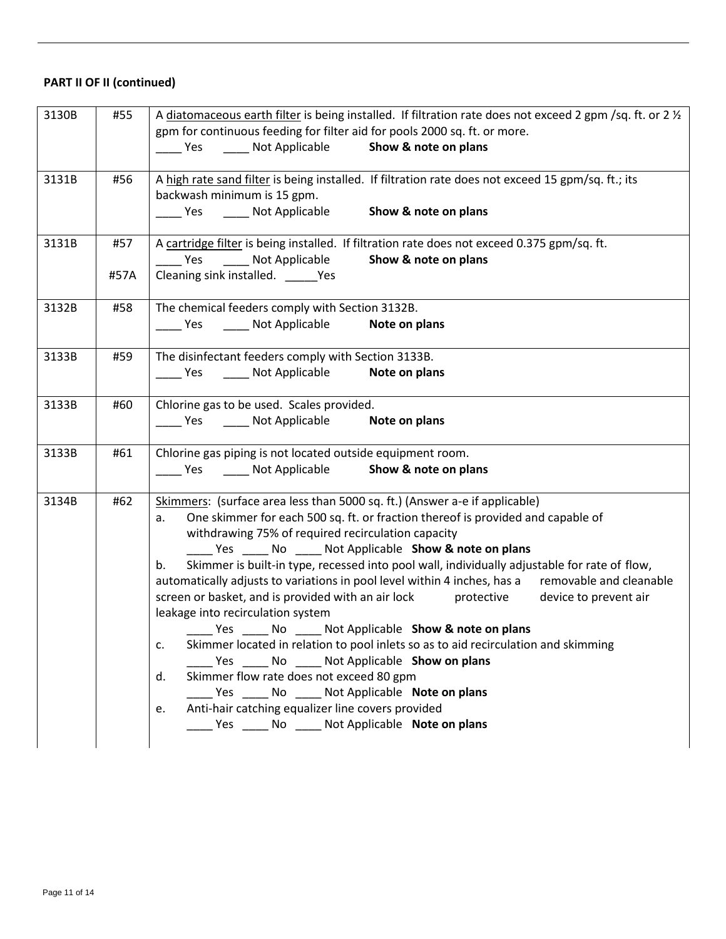| 3130B | #55  | A diatomaceous earth filter is being installed. If filtration rate does not exceed 2 gpm /sq. ft. or 2 1/2<br>gpm for continuous feeding for filter aid for pools 2000 sq. ft. or more.                                                                                                                                                                                                                                                                                                                                                                                                                                                                                                                                                                                                                                                                                                                                                                                                                                                                          |
|-------|------|------------------------------------------------------------------------------------------------------------------------------------------------------------------------------------------------------------------------------------------------------------------------------------------------------------------------------------------------------------------------------------------------------------------------------------------------------------------------------------------------------------------------------------------------------------------------------------------------------------------------------------------------------------------------------------------------------------------------------------------------------------------------------------------------------------------------------------------------------------------------------------------------------------------------------------------------------------------------------------------------------------------------------------------------------------------|
|       |      | _____ Yes _______ Not Applicable _______ Show & note on plans                                                                                                                                                                                                                                                                                                                                                                                                                                                                                                                                                                                                                                                                                                                                                                                                                                                                                                                                                                                                    |
| 3131B | #56  | A high rate sand filter is being installed. If filtration rate does not exceed 15 gpm/sq. ft.; its<br>backwash minimum is 15 gpm.                                                                                                                                                                                                                                                                                                                                                                                                                                                                                                                                                                                                                                                                                                                                                                                                                                                                                                                                |
|       |      | ______ Yes ________ Not Applicable ________ Show & note on plans                                                                                                                                                                                                                                                                                                                                                                                                                                                                                                                                                                                                                                                                                                                                                                                                                                                                                                                                                                                                 |
| 3131B | #57  | A cartridge filter is being installed. If filtration rate does not exceed 0.375 gpm/sq. ft.<br>Yes Not Applicable<br>Show & note on plans                                                                                                                                                                                                                                                                                                                                                                                                                                                                                                                                                                                                                                                                                                                                                                                                                                                                                                                        |
|       | #57A | Cleaning sink installed. _______ Yes                                                                                                                                                                                                                                                                                                                                                                                                                                                                                                                                                                                                                                                                                                                                                                                                                                                                                                                                                                                                                             |
| 3132B | #58  | The chemical feeders comply with Section 3132B.<br>Ves ______ Not Applicable <b>Note on plans</b>                                                                                                                                                                                                                                                                                                                                                                                                                                                                                                                                                                                                                                                                                                                                                                                                                                                                                                                                                                |
| 3133B | #59  | The disinfectant feeders comply with Section 3133B.<br>Ves ______ Not Applicable <b>Note on plans</b>                                                                                                                                                                                                                                                                                                                                                                                                                                                                                                                                                                                                                                                                                                                                                                                                                                                                                                                                                            |
| 3133B | #60  | Chlorine gas to be used. Scales provided.<br>_____ Yes _______ Not Applicable _______ Note on plans                                                                                                                                                                                                                                                                                                                                                                                                                                                                                                                                                                                                                                                                                                                                                                                                                                                                                                                                                              |
| 3133B | #61  | Chlorine gas piping is not located outside equipment room.<br>_____ Yes _______ Not Applicable _______ Show & note on plans                                                                                                                                                                                                                                                                                                                                                                                                                                                                                                                                                                                                                                                                                                                                                                                                                                                                                                                                      |
| 3134B | #62  | Skimmers: (surface area less than 5000 sq. ft.) (Answer a-e if applicable)<br>One skimmer for each 500 sq. ft. or fraction thereof is provided and capable of<br>a.<br>withdrawing 75% of required recirculation capacity<br>Yes ______ No ______ Not Applicable Show & note on plans<br>Skimmer is built-in type, recessed into pool wall, individually adjustable for rate of flow,<br>$b_{\cdot}$<br>automatically adjusts to variations in pool level within 4 inches, has a removable and cleanable<br>screen or basket, and is provided with an air lock protective device to prevent air<br>leakage into recirculation system<br>Yes _______ No _______ Not Applicable Show & note on plans<br>Skimmer located in relation to pool inlets so as to aid recirculation and skimming<br>c.<br>Yes No Not Applicable Show on plans<br>Skimmer flow rate does not exceed 80 gpm<br>d.<br>____ Yes ______ No _____ Not Applicable Note on plans<br>Anti-hair catching equalizer line covers provided<br>e.<br>Yes ______ No ______ Not Applicable Note on plans |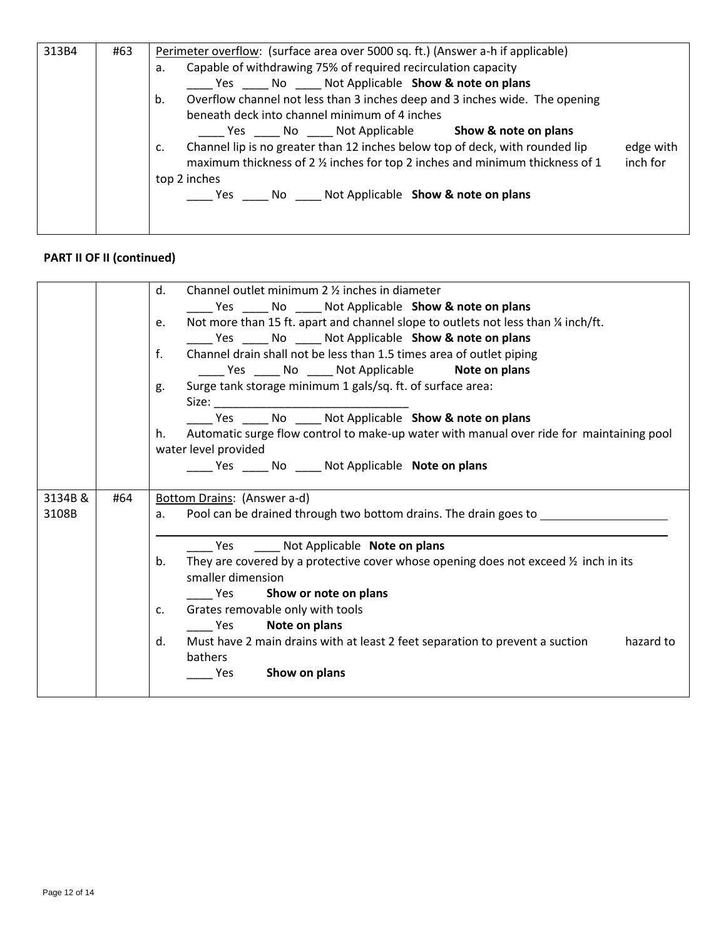| 313B4 | #63 | Perimeter overflow: (surface area over 5000 sq. ft.) (Answer a-h if applicable)                                                                                                            |  |  |  |  |
|-------|-----|--------------------------------------------------------------------------------------------------------------------------------------------------------------------------------------------|--|--|--|--|
|       |     | Capable of withdrawing 75% of required recirculation capacity<br>a.                                                                                                                        |  |  |  |  |
|       |     | Yes ______ No ______ Not Applicable Show & note on plans                                                                                                                                   |  |  |  |  |
|       |     | Overflow channel not less than 3 inches deep and 3 inches wide. The opening<br>b.                                                                                                          |  |  |  |  |
|       |     | beneath deck into channel minimum of 4 inches                                                                                                                                              |  |  |  |  |
|       |     | Yes No Not Applicable<br>Show & note on plans                                                                                                                                              |  |  |  |  |
|       |     | Channel lip is no greater than 12 inches below top of deck, with rounded lip<br>edge with<br>c.<br>maximum thickness of 2 % inches for top 2 inches and minimum thickness of 1<br>inch for |  |  |  |  |
|       |     | top 2 inches                                                                                                                                                                               |  |  |  |  |
|       |     | No Not Applicable Show & note on plans<br>Yes                                                                                                                                              |  |  |  |  |
|       |     |                                                                                                                                                                                            |  |  |  |  |
|       |     |                                                                                                                                                                                            |  |  |  |  |

|         |                                                                                          | Channel outlet minimum 2 % inches in diameter<br>d.                                             |  |  |  |  |
|---------|------------------------------------------------------------------------------------------|-------------------------------------------------------------------------------------------------|--|--|--|--|
|         | ______ Yes _______ No ______ Not Applicable Show & note on plans                         |                                                                                                 |  |  |  |  |
|         | Not more than 15 ft. apart and channel slope to outlets not less than 1/4 inch/ft.<br>e. |                                                                                                 |  |  |  |  |
|         |                                                                                          | _____ Yes _____ No _____ Not Applicable Show & note on plans                                    |  |  |  |  |
|         |                                                                                          | $f_{\cdot}$<br>Channel drain shall not be less than 1.5 times area of outlet piping             |  |  |  |  |
|         |                                                                                          | _____ Yes _____ No _____ Not Applicable <b>Note on plans</b>                                    |  |  |  |  |
|         |                                                                                          | Surge tank storage minimum 1 gals/sq. ft. of surface area:<br>g.                                |  |  |  |  |
|         |                                                                                          |                                                                                                 |  |  |  |  |
|         |                                                                                          | Yes ______ No ______ Not Applicable <b>Show &amp; note on plans</b>                             |  |  |  |  |
|         |                                                                                          | Automatic surge flow control to make-up water with manual over ride for maintaining pool<br>h.  |  |  |  |  |
|         |                                                                                          | water level provided                                                                            |  |  |  |  |
|         |                                                                                          |                                                                                                 |  |  |  |  |
|         |                                                                                          |                                                                                                 |  |  |  |  |
| 3134B & | #64                                                                                      | Bottom Drains: (Answer a-d)                                                                     |  |  |  |  |
| 3108B   |                                                                                          | Pool can be drained through two bottom drains. The drain goes to _______________                |  |  |  |  |
|         |                                                                                          |                                                                                                 |  |  |  |  |
|         |                                                                                          | Yes Not Applicable Note on plans                                                                |  |  |  |  |
|         |                                                                                          | They are covered by a protective cover whose opening does not exceed $\frac{1}{2}$ inch in its  |  |  |  |  |
|         |                                                                                          | smaller dimension                                                                               |  |  |  |  |
|         |                                                                                          | Show or note on plans<br><b>Parage Yes</b>                                                      |  |  |  |  |
|         |                                                                                          | Grates removable only with tools<br>C.                                                          |  |  |  |  |
|         |                                                                                          | Note on plans<br><b>Preserve</b>                                                                |  |  |  |  |
|         |                                                                                          | Must have 2 main drains with at least 2 feet separation to prevent a suction<br>hazard to<br>d. |  |  |  |  |
|         |                                                                                          |                                                                                                 |  |  |  |  |
|         |                                                                                          | bathers                                                                                         |  |  |  |  |
|         |                                                                                          | Show on plans<br><b>Pres</b>                                                                    |  |  |  |  |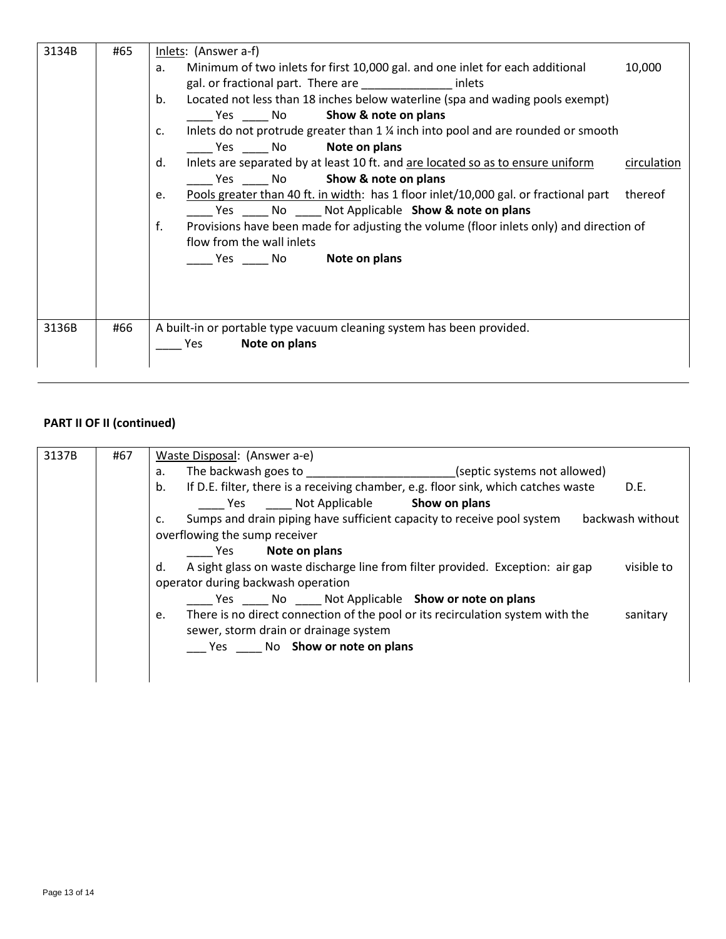| 3134B | #65                                                                                   | Inlets: (Answer a-f)                                                                                  |  |  |  |
|-------|---------------------------------------------------------------------------------------|-------------------------------------------------------------------------------------------------------|--|--|--|
|       |                                                                                       | Minimum of two inlets for first 10,000 gal. and one inlet for each additional<br>10,000<br>a.         |  |  |  |
|       |                                                                                       | gal. or fractional part. There are _________________ inlets                                           |  |  |  |
|       |                                                                                       | Located not less than 18 inches below waterline (spa and wading pools exempt)<br>b.                   |  |  |  |
|       |                                                                                       | Yes No Show & note on plans                                                                           |  |  |  |
|       |                                                                                       | Inlets do not protrude greater than 1 % inch into pool and are rounded or smooth<br>C.                |  |  |  |
|       |                                                                                       | Yes No <b>Note on plans</b>                                                                           |  |  |  |
|       | Inlets are separated by at least 10 ft. and are located so as to ensure uniform<br>d. |                                                                                                       |  |  |  |
|       |                                                                                       | Yes No <b>Show &amp; note on plans</b>                                                                |  |  |  |
|       |                                                                                       | Pools greater than 40 ft. in width: has 1 floor inlet/10,000 gal. or fractional part<br>thereof<br>e. |  |  |  |
|       |                                                                                       | ____ Yes ______ No _____ Not Applicable Show & note on plans                                          |  |  |  |
|       |                                                                                       | Provisions have been made for adjusting the volume (floor inlets only) and direction of<br>f.         |  |  |  |
|       |                                                                                       | flow from the wall inlets                                                                             |  |  |  |
|       |                                                                                       | <b>Example 3 Yes Configure Note on plans</b>                                                          |  |  |  |
|       |                                                                                       |                                                                                                       |  |  |  |
|       |                                                                                       |                                                                                                       |  |  |  |
|       |                                                                                       |                                                                                                       |  |  |  |
| 3136B | #66                                                                                   | A built-in or portable type vacuum cleaning system has been provided.                                 |  |  |  |
|       |                                                                                       | Note on plans<br>Yes                                                                                  |  |  |  |
|       |                                                                                       |                                                                                                       |  |  |  |
|       |                                                                                       |                                                                                                       |  |  |  |

| 3137B | #67 | Waste Disposal: (Answer a-e)                                                                       |  |  |  |  |  |
|-------|-----|----------------------------------------------------------------------------------------------------|--|--|--|--|--|
|       |     | The backwash goes to the state of the backwash goes to<br>(septic systems not allowed)<br>a.       |  |  |  |  |  |
|       |     | If D.E. filter, there is a receiving chamber, e.g. floor sink, which catches waste<br>b.<br>D.E.   |  |  |  |  |  |
|       |     | Yes Mot Applicable Show on plans                                                                   |  |  |  |  |  |
|       |     | Sumps and drain piping have sufficient capacity to receive pool system<br>backwash without<br>C.   |  |  |  |  |  |
|       |     | overflowing the sump receiver                                                                      |  |  |  |  |  |
|       |     | Note on plans<br>Yes.                                                                              |  |  |  |  |  |
|       |     | A sight glass on waste discharge line from filter provided. Exception: air gap<br>visible to<br>d. |  |  |  |  |  |
|       |     | operator during backwash operation                                                                 |  |  |  |  |  |
|       |     | Yes No Not Applicable Show or note on plans                                                        |  |  |  |  |  |
|       |     | There is no direct connection of the pool or its recirculation system with the<br>sanitary<br>e.   |  |  |  |  |  |
|       |     | sewer, storm drain or drainage system                                                              |  |  |  |  |  |
|       |     | Yes No Show or note on plans                                                                       |  |  |  |  |  |
|       |     |                                                                                                    |  |  |  |  |  |
|       |     |                                                                                                    |  |  |  |  |  |